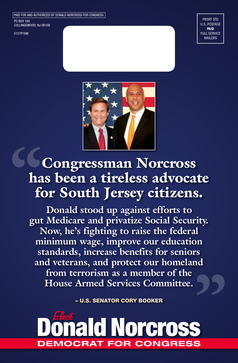PAID FOR AND AUTHORIZED BY DONALD NORCROSS FOR CONGRESS

PO BOX 160 COLLINGSWOOD, NJ 08108

0127P16M

PRSRT STD U.S. POSTAGE PAID FULL SERVICE MAILERS



# Congressman Norcross has been a tireless advocate for South Jersey citizens.

**Donald stood up against efforts to gut Medicare and privatize Social Security. Now, he's fighting to raise the federal minimum wage, improve our education standards, increase benefits for seniors and veterans, and protect our homeland from terrorism as a member of the House Armed Services Committee.** 

– U.S. SENATOR CORY BOOKER